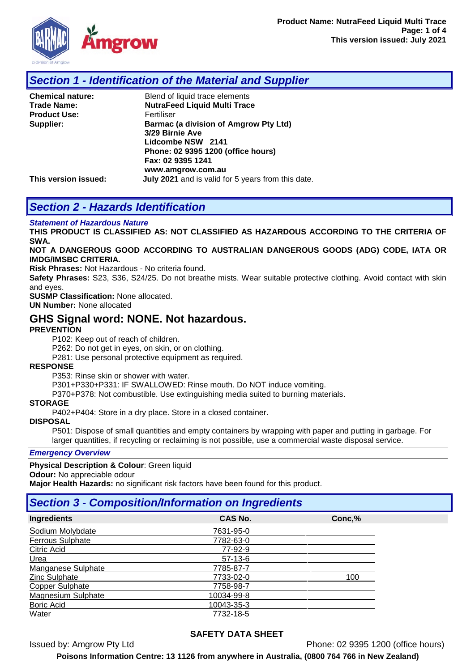

### *Section 1 - Identification of the Material and Supplier*

| <b>Chemical nature:</b> | Blend of liquid trace elements                     |
|-------------------------|----------------------------------------------------|
| <b>Trade Name:</b>      | <b>NutraFeed Liquid Multi Trace</b>                |
| <b>Product Use:</b>     | Fertiliser                                         |
| Supplier:               | Barmac (a division of Amgrow Pty Ltd)              |
|                         | 3/29 Birnie Ave                                    |
|                         | Lidcombe NSW 2141                                  |
|                         | Phone: 02 9395 1200 (office hours)                 |
|                         | Fax: 02 9395 1241                                  |
|                         | www.amgrow.com.au                                  |
| This version issued:    | July 2021 and is valid for 5 years from this date. |

# *Section 2 - Hazards Identification*

#### *Statement of Hazardous Nature*

**THIS PRODUCT IS CLASSIFIED AS: NOT CLASSIFIED AS HAZARDOUS ACCORDING TO THE CRITERIA OF SWA.** 

#### **NOT A DANGEROUS GOOD ACCORDING TO AUSTRALIAN DANGEROUS GOODS (ADG) CODE, IATA OR IMDG/IMSBC CRITERIA.**

**Risk Phrases:** Not Hazardous - No criteria found.

**Safety Phrases:** S23, S36, S24/25. Do not breathe mists. Wear suitable protective clothing. Avoid contact with skin and eyes.

**SUSMP Classification:** None allocated.

**UN Number:** None allocated

### **GHS Signal word: NONE. Not hazardous.**

#### **PREVENTION**

P102: Keep out of reach of children.

P262: Do not get in eyes, on skin, or on clothing.

P281: Use personal protective equipment as required.

#### **RESPONSE**

P353: Rinse skin or shower with water.

P301+P330+P331: IF SWALLOWED: Rinse mouth. Do NOT induce vomiting.

P370+P378: Not combustible. Use extinguishing media suited to burning materials.

#### **STORAGE**

P402+P404: Store in a dry place. Store in a closed container.

#### **DISPOSAL**

P501: Dispose of small quantities and empty containers by wrapping with paper and putting in garbage. For larger quantities, if recycling or reclaiming is not possible, use a commercial waste disposal service.

#### *Emergency Overview*

#### **Physical Description & Colour**: Green liquid

**Odour:** No appreciable odour

**Major Health Hazards:** no significant risk factors have been found for this product.

### *Section 3 - Composition/Information on Ingredients*

| Ingredients             | <b>CAS No.</b> | Conc,% |
|-------------------------|----------------|--------|
| Sodium Molybdate        | 7631-95-0      |        |
| <b>Ferrous Sulphate</b> | 7782-63-0      |        |
| Citric Acid             | 77-92-9        |        |
| Urea                    | $57-13-6$      |        |
| Manganese Sulphate      | 7785-87-7      |        |
| Zinc Sulphate           | 7733-02-0      | 100    |
| <b>Copper Sulphate</b>  | 7758-98-7      |        |
| Magnesium Sulphate      | 10034-99-8     |        |
| <b>Boric Acid</b>       | 10043-35-3     |        |
| Water                   | 7732-18-5      |        |

### **SAFETY DATA SHEET**

Issued by: Amgrow Pty Ltd Phone: 02 9395 1200 (office hours)

**Poisons Information Centre: 13 1126 from anywhere in Australia, (0800 764 766 in New Zealand)**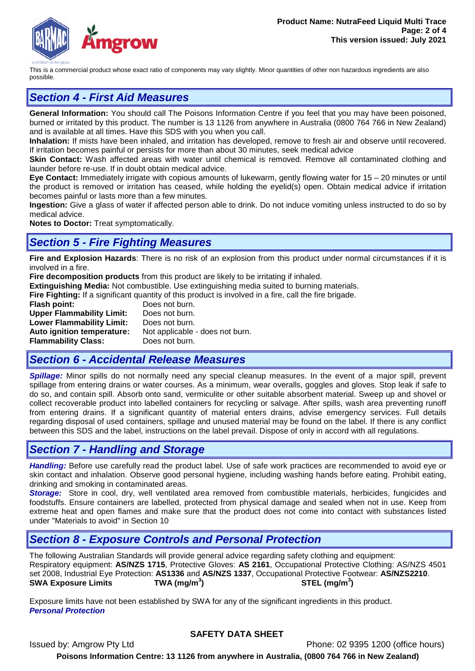

This is a commercial product whose exact ratio of components may vary slightly. Minor quantities of other non hazardous ingredients are also possible.

# *Section 4 - First Aid Measures*

**General Information:** You should call The Poisons Information Centre if you feel that you may have been poisoned, burned or irritated by this product. The number is 13 1126 from anywhere in Australia (0800 764 766 in New Zealand) and is available at all times. Have this SDS with you when you call.

**Inhalation:** If mists have been inhaled, and irritation has developed, remove to fresh air and observe until recovered. If irritation becomes painful or persists for more than about 30 minutes, seek medical advice

**Skin Contact:** Wash affected areas with water until chemical is removed. Remove all contaminated clothing and launder before re-use. If in doubt obtain medical advice.

**Eye Contact:** Immediately irrigate with copious amounts of lukewarm, gently flowing water for 15 – 20 minutes or until the product is removed or irritation has ceased, while holding the eyelid(s) open. Obtain medical advice if irritation becomes painful or lasts more than a few minutes.

**Ingestion:** Give a glass of water if affected person able to drink. Do not induce vomiting unless instructed to do so by medical advice.

**Notes to Doctor:** Treat symptomatically.

### *Section 5 - Fire Fighting Measures*

**Fire and Explosion Hazards**: There is no risk of an explosion from this product under normal circumstances if it is involved in a fire.

**Fire decomposition products** from this product are likely to be irritating if inhaled.

**Extinguishing Media:** Not combustible. Use extinguishing media suited to burning materials.

**Fire Fighting:** If a significant quantity of this product is involved in a fire, call the fire brigade.

**Flash point:** Does not burn.<br>**Upper Flammability Limit:** Does not burn. **Upper Flammability Limit: Lower Flammability Limit:** Does not burn. **Auto ignition temperature:** Not applicable - does not burn.<br>**Flammability Class:** Does not burn. **Flammability Class:** 

# *Section 6 - Accidental Release Measures*

*Spillage:* Minor spills do not normally need any special cleanup measures. In the event of a major spill, prevent spillage from entering drains or water courses. As a minimum, wear overalls, goggles and gloves. Stop leak if safe to do so, and contain spill. Absorb onto sand, vermiculite or other suitable absorbent material. Sweep up and shovel or collect recoverable product into labelled containers for recycling or salvage. After spills, wash area preventing runoff from entering drains. If a significant quantity of material enters drains, advise emergency services. Full details regarding disposal of used containers, spillage and unused material may be found on the label. If there is any conflict between this SDS and the label, instructions on the label prevail. Dispose of only in accord with all regulations.

### *Section 7 - Handling and Storage*

*Handling:* Before use carefully read the product label. Use of safe work practices are recommended to avoid eye or skin contact and inhalation. Observe good personal hygiene, including washing hands before eating. Prohibit eating, drinking and smoking in contaminated areas.

*Storage:*Store in cool, dry, well ventilated area removed from combustible materials, herbicides, fungicides and foodstuffs. Ensure containers are labelled, protected from physical damage and sealed when not in use. Keep from extreme heat and open flames and make sure that the product does not come into contact with substances listed under "Materials to avoid" in Section 10

### *Section 8 - Exposure Controls and Personal Protection*

The following Australian Standards will provide general advice regarding safety clothing and equipment: Respiratory equipment: **AS/NZS 1715**, Protective Gloves: **AS 2161**, Occupational Protective Clothing: AS/NZS 4501 set 2008, Industrial Eye Protection: **AS1336** and **AS/NZS 1337**, Occupational Protective Footwear: **AS/NZS2210**. **SWA Exposure Limits TWA (mg/m<sup>3</sup> ) STEL (mg/m<sup>3</sup> )**

Exposure limits have not been established by SWA for any of the significant ingredients in this product. *Personal Protection*

### **SAFETY DATA SHEET**

Issued by: Amgrow Pty Ltd Phone: 02 9395 1200 (office hours) **Poisons Information Centre: 13 1126 from anywhere in Australia, (0800 764 766 in New Zealand)**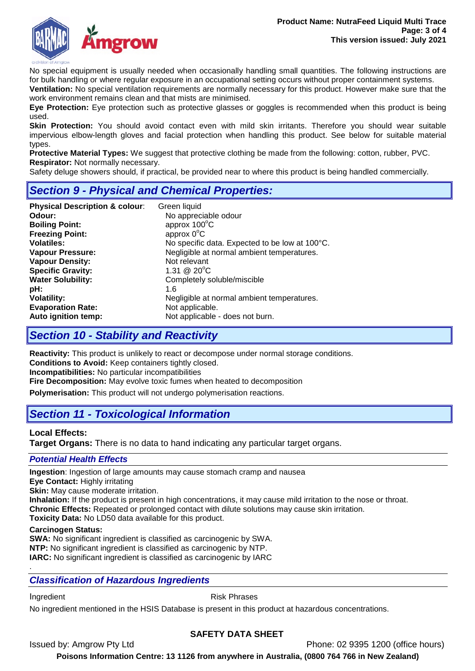

No special equipment is usually needed when occasionally handling small quantities. The following instructions are for bulk handling or where regular exposure in an occupational setting occurs without proper containment systems.

**Ventilation:** No special ventilation requirements are normally necessary for this product. However make sure that the work environment remains clean and that mists are minimised.

**Eye Protection:** Eye protection such as protective glasses or goggles is recommended when this product is being used.

**Skin Protection:** You should avoid contact even with mild skin irritants. Therefore you should wear suitable impervious elbow-length gloves and facial protection when handling this product. See below for suitable material types.

**Protective Material Types:** We suggest that protective clothing be made from the following: cotton, rubber, PVC. **Respirator:** Not normally necessary.

Safety deluge showers should, if practical, be provided near to where this product is being handled commercially.

# *Section 9 - Physical and Chemical Properties:*

| Green liquid<br>No appreciable odour<br>approx 100°C<br>approx $0^{\circ}$ C<br>No specific data. Expected to be low at 100°C.<br>Negligible at normal ambient temperatures.<br>Not relevant<br>1.31 @ $20^{\circ}$ C<br>Completely soluble/miscible<br>1.6<br>Negligible at normal ambient temperatures. |
|-----------------------------------------------------------------------------------------------------------------------------------------------------------------------------------------------------------------------------------------------------------------------------------------------------------|
| Not applicable.<br>Not applicable - does not burn.                                                                                                                                                                                                                                                        |
|                                                                                                                                                                                                                                                                                                           |

# *Section 10 - Stability and Reactivity*

**Reactivity:** This product is unlikely to react or decompose under normal storage conditions. **Conditions to Avoid:** Keep containers tightly closed. **Incompatibilities:** No particular incompatibilities

**Fire Decomposition:** May evolve toxic fumes when heated to decomposition

**Polymerisation:** This product will not undergo polymerisation reactions.

# *Section 11 - Toxicological Information*

### **Local Effects:**

**Target Organs:** There is no data to hand indicating any particular target organs.

### *Potential Health Effects*

**Ingestion**: Ingestion of large amounts may cause stomach cramp and nausea

**Eye Contact:** Highly irritating

**Skin:** May cause moderate irritation.

**Inhalation:** If the product is present in high concentrations, it may cause mild irritation to the nose or throat. **Chronic Effects:** Repeated or prolonged contact with dilute solutions may cause skin irritation.

**Toxicity Data:** No LD50 data available for this product.

### **Carcinogen Status:**

**SWA:** No significant ingredient is classified as carcinogenic by SWA. **NTP:** No significant ingredient is classified as carcinogenic by NTP. **IARC:** No significant ingredient is classified as carcinogenic by IARC

### *Classification of Hazardous Ingredients*

.

Ingredient **Risk Phrases** 

No ingredient mentioned in the HSIS Database is present in this product at hazardous concentrations.

### **SAFETY DATA SHEET**

Issued by: Amgrow Pty Ltd Phone: 02 9395 1200 (office hours)

**Poisons Information Centre: 13 1126 from anywhere in Australia, (0800 764 766 in New Zealand)**